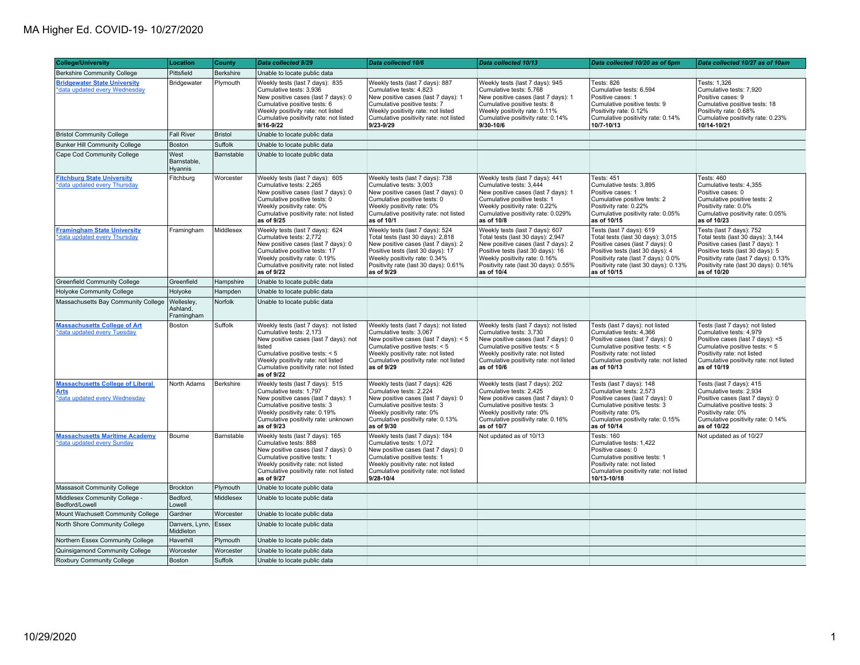| <b>College/University</b>                                                               | Location                             | <b>County</b> | Data collected 9/29                                                                                                                                                                                                                                  | Data collected 10/6                                                                                                                                                                                                                        | Data collected 10/13                                                                                                                                                                                                                     | Data collected 10/20 as of 6pm                                                                                                                                                                                                      | Data collected 10/27 as of 10am                                                                                                                                                                                                      |
|-----------------------------------------------------------------------------------------|--------------------------------------|---------------|------------------------------------------------------------------------------------------------------------------------------------------------------------------------------------------------------------------------------------------------------|--------------------------------------------------------------------------------------------------------------------------------------------------------------------------------------------------------------------------------------------|------------------------------------------------------------------------------------------------------------------------------------------------------------------------------------------------------------------------------------------|-------------------------------------------------------------------------------------------------------------------------------------------------------------------------------------------------------------------------------------|--------------------------------------------------------------------------------------------------------------------------------------------------------------------------------------------------------------------------------------|
| <b>Berkshire Community College</b>                                                      | Pittsfield                           | Berkshire     | Unable to locate public data                                                                                                                                                                                                                         |                                                                                                                                                                                                                                            |                                                                                                                                                                                                                                          |                                                                                                                                                                                                                                     |                                                                                                                                                                                                                                      |
| <b>Bridgewater State University</b><br>*data updated every Wednesday                    | Bridgewater                          | Plymouth      | Weekly tests (last 7 days): 835<br>Cumulative tests: 3,936<br>New positive cases (last 7 days): 0<br>Cumulative positive tests: 6<br>Weekly positivity rate: not listed<br>Cumulative positivity rate: not listed<br>9/16-9/22                       | Weekly tests (last 7 days): 887<br>Cumulative tests: 4,823<br>New positive cases (last 7 days): 1<br>Cumulative positive tests: 7<br>Weekly positivity rate: not listed<br>Cumulative positivity rate: not listed<br>9/23-9/29             | Weekly tests (last 7 days): 945<br>Cumulative tests: 5,768<br>New positive cases (last 7 days): 1<br>Cumulative positive tests: 8<br>Weekly positivity rate: 0.11%<br>Cumulative positivity rate: 0.14%<br>9/30-10/6                     | <b>Tests: 826</b><br>Cumulative tests: 6,594<br>Positive cases: 1<br>Cumulative positive tests: 9<br>Positivity rate: 0.12%<br>Cumulative positivity rate: 0.14%<br>10/7-10/13                                                      | Tests: 1,326<br>Cumulative tests: 7,920<br>Positive cases: 9<br>Cumulative positive tests: 18<br>Positivity rate: 0.68%<br>Cumulative positivity rate: 0.23%<br>10/14-10/21                                                          |
| <b>Bristol Community College</b>                                                        | Fall River                           | Bristol       | Unable to locate public data                                                                                                                                                                                                                         |                                                                                                                                                                                                                                            |                                                                                                                                                                                                                                          |                                                                                                                                                                                                                                     |                                                                                                                                                                                                                                      |
| <b>Bunker Hill Community College</b>                                                    | Boston                               | Suffolk       | Unable to locate public data                                                                                                                                                                                                                         |                                                                                                                                                                                                                                            |                                                                                                                                                                                                                                          |                                                                                                                                                                                                                                     |                                                                                                                                                                                                                                      |
| Cape Cod Community College                                                              | West<br>Barnstable,<br>Hyannis       | Barnstable    | Unable to locate public data                                                                                                                                                                                                                         |                                                                                                                                                                                                                                            |                                                                                                                                                                                                                                          |                                                                                                                                                                                                                                     |                                                                                                                                                                                                                                      |
| <b>Fitchburg State University</b><br>*data updated every Thursday                       | Fitchburg                            | Worcester     | Weekly tests (last 7 days): 605<br>Cumulative tests: 2,265<br>New positive cases (last 7 days): 0<br>Cumulative positive tests: 0<br>Weekly positivity rate: 0%<br>Cumulative positivity rate: not listed<br>as of 9/25                              | Weekly tests (last 7 days): 738<br>Cumulative tests: 3,003<br>New positive cases (last 7 days): 0<br>Cumulative positive tests: 0<br>Weekly positivity rate: 0%<br>Cumulative positivity rate: not listed<br>as of 10/1                    | Weekly tests (last 7 days): 441<br>Cumulative tests: 3,444<br>New positive cases (last 7 days): 1<br>Cumulative positive tests: 1<br>Weekly positivity rate: 0.22%<br>Cumulative positivity rate: 0.029%<br>as of 10/8                   | <b>Tests: 451</b><br>Cumulative tests: 3,895<br>Positive cases: 1<br>Cumulative positive tests: 2<br>Positivity rate: 0.22%<br>Cumulative positivity rate: 0.05%<br>as of 10/15                                                     | Tests: 460<br>Cumulative tests: 4,355<br>Positive cases: 0<br>Cumulative positive tests: 2<br>Positivity rate: 0.0%<br>Cumulative positivity rate: 0.05%<br>as of 10/23                                                              |
| <b>Framingham State University</b><br>*data updated every Thursday                      | Framingham                           | Middlesex     | Weekly tests (last 7 days): 624<br>Cumulative tests: 2,772<br>New positive cases (last 7 days): 0<br>Cumulative positive tests: 17<br>Weekly positivity rate: 0.19%<br>Cumulative positivity rate: not listed<br>as of 9/22                          | Weekly tests (last 7 days): 524<br>Total tests (last 30 days): 2,818<br>New positive cases (last 7 days): 2<br>Positive tests (last 30 days): 17<br>Weekly positivity rate: 0.34%<br>Positivity rate (last 30 days): 0.61%<br>as of 9/29   | Weekly tests (last 7 days): 607<br>Total tests (last 30 days): 2,947<br>New positive cases (last 7 days): 2<br>Positive tests (last 30 days): 16<br>Weekly positivity rate: 0.16%<br>Positivity rate (last 30 days): 0.55%<br>as of 10/4 | Tests (last 7 days): 619<br>Total tests (last 30 days): 3,015<br>Positive cases (last 7 days): 0<br>Positive tests (last 30 days): 4<br>Positivity rate (last 7 days): 0.0%<br>Positivity rate (last 30 days): 0.13%<br>as of 10/15 | Tests (last 7 days): 752<br>Total tests (last 30 days): 3,144<br>Positive cases (last 7 days): 1<br>Positive tests (last 30 days): 5<br>Positivity rate (last 7 days): 0.13%<br>Positivity rate (last 30 days): 0.16%<br>as of 10/20 |
| <b>Greenfield Community College</b>                                                     | Greenfield                           | Hampshire     | Unable to locate public data                                                                                                                                                                                                                         |                                                                                                                                                                                                                                            |                                                                                                                                                                                                                                          |                                                                                                                                                                                                                                     |                                                                                                                                                                                                                                      |
| <b>Holyoke Community College</b>                                                        | Holyoke                              | Hampden       | Unable to locate public data                                                                                                                                                                                                                         |                                                                                                                                                                                                                                            |                                                                                                                                                                                                                                          |                                                                                                                                                                                                                                     |                                                                                                                                                                                                                                      |
| Massachusetts Bay Community College                                                     | Wellesley,<br>Ashland,<br>Framingham | Norfolk       | Unable to locate public data                                                                                                                                                                                                                         |                                                                                                                                                                                                                                            |                                                                                                                                                                                                                                          |                                                                                                                                                                                                                                     |                                                                                                                                                                                                                                      |
| <b>Massachusetts College of Art</b><br>*data updated every Tuesday                      | Boston                               | Suffolk       | Weekly tests (last 7 days): not listed<br>Cumulative tests: 2,173<br>New positive cases (last 7 days): not<br>listed<br>Cumulative positive tests: < 5<br>Weekly positivity rate: not listed<br>Cumulative positivity rate: not listed<br>as of 9/22 | Weekly tests (last 7 days): not listed<br>Cumulative tests: 3,067<br>New positive cases (last 7 days): < 5<br>Cumulative positive tests: < 5<br>Weekly positivity rate: not listed<br>Cumulative positivity rate: not listed<br>as of 9/29 | Weekly tests (last 7 days): not listed<br>Cumulative tests: 3,730<br>New positive cases (last 7 days): 0<br>Cumulative positive tests: < 5<br>Weekly positivity rate: not listed<br>Cumulative positivity rate: not listed<br>as of 10/6 | Tests (last 7 days): not listed<br>Cumulative tests: 4,366<br>Positive cases (last 7 days): 0<br>Cumulative positive tests: < 5<br>Positivity rate: not listed<br>Cumulative positivity rate: not listed<br>as of 10/13             | Tests (last 7 days): not listed<br>Cumulative tests: 4,979<br>Positive cases (last 7 days): <5<br>Cumulative positive tests: < 5<br>Positivity rate: not listed<br>Cumulative positivity rate: not listed<br>as of 10/19             |
| <b>Massachusetts College of Liberal</b><br><b>Arts</b><br>*data updated every Wednesday | North Adams                          | Berkshire     | Weekly tests (last 7 days): 515<br>Cumulative tests: 1,797<br>New positive cases (last 7 days): 1<br>Cumulative positive tests: 3<br>Weekly positivity rate: 0.19%<br>Cumulative positivity rate: unknown<br>as of 9/23                              | Weekly tests (last 7 days): 426<br>Cumulative tests: 2,224<br>New positive cases (last 7 days): 0<br>Cumulative positive tests: 3<br>Weekly positivity rate: 0%<br>Cumulative positivity rate: 0.13%<br>as of 9/30                         | Weekly tests (last 7 days): 202<br>Cumulative tests: 2,425<br>New positive cases (last 7 days): 0<br>Cumulative positive tests: 3<br>Weekly positivity rate: 0%<br>Cumulative positivity rate: 0.16%<br>as of 10/7                       | Tests (last 7 days): 148<br>Cumulative tests: 2,573<br>Positive cases (last 7 days): 0<br>Cumulative positive tests: 3<br>Positivity rate: 0%<br>Cumulative positivity rate: 0.15%<br>as of 10/14                                   | Tests (last 7 days): 415<br>Cumulative tests: 2,934<br>Positive cases (last 7 days): 0<br>Cumulative positive tests: 3<br>Positivity rate: 0%<br>Cumulative positivity rate: 0.14%<br>as of 10/22                                    |
| <b>Massachusetts Maritime Academy</b><br>*data updated every Sunday                     | Bourne                               | Barnstable    | Weekly tests (last 7 days): 165<br>Cumulative tests: 888<br>New positive cases (last 7 days): 0<br>Cumulative positive tests: 1<br>Weekly positivity rate: not listed<br>Cumulative positivity rate: not listed<br>as of 9/27                        | Weekly tests (last 7 days): 184<br>Cumulative tests: 1,072<br>New positive cases (last 7 days): 0<br>Cumulative positive tests: 1<br>Weekly positivity rate: not listed<br>Cumulative positivity rate: not listed<br>9/28-10/4             | Not updated as of 10/13                                                                                                                                                                                                                  | Tests: 160<br>Cumulative tests: 1,422<br>Positive cases: 0<br>Cumulative positive tests: 1<br>Positivity rate: not listed<br>Cumulative positivity rate: not listed<br>10/13-10/18                                                  | Not updated as of 10/27                                                                                                                                                                                                              |
| Massasoit Community College                                                             | Brockton                             | Plymouth      | Unable to locate public data                                                                                                                                                                                                                         |                                                                                                                                                                                                                                            |                                                                                                                                                                                                                                          |                                                                                                                                                                                                                                     |                                                                                                                                                                                                                                      |
| Middlesex Community College -<br>Bedford/Lowell                                         | Bedford,<br>Lowell                   | Middlesex     | Unable to locate public data                                                                                                                                                                                                                         |                                                                                                                                                                                                                                            |                                                                                                                                                                                                                                          |                                                                                                                                                                                                                                     |                                                                                                                                                                                                                                      |
| Mount Wachusett Community College                                                       | Gardner                              | Worcester     | Unable to locate public data                                                                                                                                                                                                                         |                                                                                                                                                                                                                                            |                                                                                                                                                                                                                                          |                                                                                                                                                                                                                                     |                                                                                                                                                                                                                                      |
| North Shore Community College                                                           | Danvers, Lynn, Essex<br>Middleton    |               | Unable to locate public data                                                                                                                                                                                                                         |                                                                                                                                                                                                                                            |                                                                                                                                                                                                                                          |                                                                                                                                                                                                                                     |                                                                                                                                                                                                                                      |
| Northern Essex Community College                                                        | Haverhill                            | Plymouth      | Unable to locate public data                                                                                                                                                                                                                         |                                                                                                                                                                                                                                            |                                                                                                                                                                                                                                          |                                                                                                                                                                                                                                     |                                                                                                                                                                                                                                      |
| Quinsigamond Community College                                                          | Worcester                            | Worcester     | Unable to locate public data                                                                                                                                                                                                                         |                                                                                                                                                                                                                                            |                                                                                                                                                                                                                                          |                                                                                                                                                                                                                                     |                                                                                                                                                                                                                                      |
| Roxbury Community College                                                               | Boston                               | Suffolk       | Unable to locate public data                                                                                                                                                                                                                         |                                                                                                                                                                                                                                            |                                                                                                                                                                                                                                          |                                                                                                                                                                                                                                     |                                                                                                                                                                                                                                      |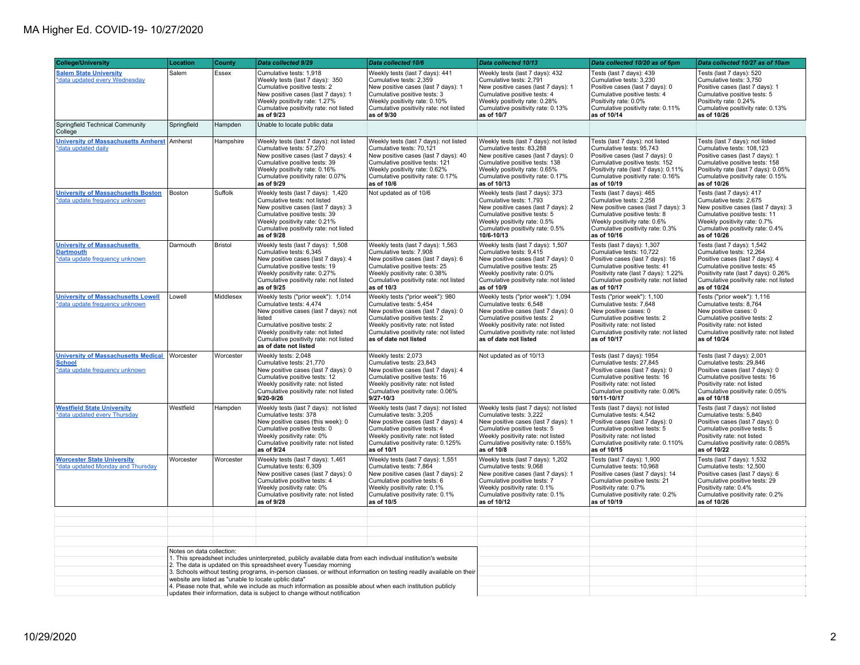| <b>College/University</b>                                                                     | Location                                                                                                                                                                                                                                                                                                                                                                                                                                                                                                                                                                                  | <b>County</b>  | Data collected 9/29                                                                                                                                                                                                                                       | Data collected 10/6                                                                                                                                                                                                                         | Data collected 10/13                                                                                                                                                                                                                          | Data collected 10/20 as of 6pm                                                                                                                                                                                               | Data collected 10/27 as of 10am                                                                                                                                                                                               |
|-----------------------------------------------------------------------------------------------|-------------------------------------------------------------------------------------------------------------------------------------------------------------------------------------------------------------------------------------------------------------------------------------------------------------------------------------------------------------------------------------------------------------------------------------------------------------------------------------------------------------------------------------------------------------------------------------------|----------------|-----------------------------------------------------------------------------------------------------------------------------------------------------------------------------------------------------------------------------------------------------------|---------------------------------------------------------------------------------------------------------------------------------------------------------------------------------------------------------------------------------------------|-----------------------------------------------------------------------------------------------------------------------------------------------------------------------------------------------------------------------------------------------|------------------------------------------------------------------------------------------------------------------------------------------------------------------------------------------------------------------------------|-------------------------------------------------------------------------------------------------------------------------------------------------------------------------------------------------------------------------------|
| <b>Salem State University</b><br>*data updated every Wednesday                                | Salem                                                                                                                                                                                                                                                                                                                                                                                                                                                                                                                                                                                     | Essex          | Cumulative tests: 1,918<br>Weekly tests (last 7 days): 350<br>Cumulative positive tests: 2<br>New positive cases (last 7 days): 1<br>Weekly positivity rate: 1.27%<br>Cumulative positivity rate: not listed<br>as of 9/23                                | Weekly tests (last 7 days): 441<br>Cumulative tests: 2,359<br>New positive cases (last 7 days): 1<br>Cumulative positive tests: 3<br>Weekly positivity rate: 0.10%<br>Cumulative positivity rate: not listed<br>as of 9/30                  | Weekly tests (last 7 days): 432<br>Cumulative tests: 2,791<br>New positive cases (last 7 days): 1<br>Cumulative positive tests: 4<br>Weekly positivity rate: 0.28%<br>Cumulative positivity rate: 0.13%<br>as of 10/7                         | Tests (last 7 days): 439<br>Cumulative tests: 3,230<br>Positive cases (last 7 days): 0<br>Cumulative positive tests: 4<br>Positivity rate: 0.0%<br>Cumulative positivity rate: 0.11%<br>as of 10/14                          | Tests (last 7 days): 520<br>Cumulative tests: 3,750<br>Positive cases (last 7 days): 1<br>Cumulative positive tests: 5<br>Positivity rate: 0.24%<br>Cumulative positivity rate: 0.13%<br>as of 10/26                          |
| Springfield Technical Community<br>College                                                    | Springfield                                                                                                                                                                                                                                                                                                                                                                                                                                                                                                                                                                               | Hampden        | Unable to locate public data                                                                                                                                                                                                                              |                                                                                                                                                                                                                                             |                                                                                                                                                                                                                                               |                                                                                                                                                                                                                              |                                                                                                                                                                                                                               |
| University of Massachusetts Amherst Amherst<br>*data updated daily                            |                                                                                                                                                                                                                                                                                                                                                                                                                                                                                                                                                                                           | Hampshire      | Weekly tests (last 7 days): not listed<br>Cumulative tests: 57,270<br>New positive cases (last 7 days): 4<br>Cumulative positive tests: 39<br>Weekly positivity rate: 0.16%<br>Cumulative positivity rate: 0.07%<br>as of 9/29                            | Weekly tests (last 7 days): not listed<br>Cumulative tests: 70,121<br>New positive cases (last 7 days): 40<br>Cumulative positive tests: 121<br>Weekly positivity rate: 0.62%<br>Cumulative positivity rate: 0.17%<br>as of 10/6            | Weekly tests (last 7 days): not listed<br>Cumulative tests: 83,288<br>New positive cases (last 7 days): 0<br>Cumulative positive tests: 138<br>Weekly positivity rate: 0.65%<br>Cumulative positivity rate: 0.17%<br>as of 10/13              | Tests (last 7 days): not listed<br>Cumulative tests: 95,743<br>Positive cases (last 7 days): 0<br>Cumulative positive tests: 152<br>Positivity rate (last 7 days): 0.11%<br>Cumulative positivity rate: 0.16%<br>as of 10/19 | Tests (last 7 days): not listed<br>Cumulative tests: 108,123<br>Positive cases (last 7 days): 1<br>Cumulative positive tests: 158<br>Positivity rate (last 7 days): 0.05%<br>Cumulative positivity rate: 0.15%<br>as of 10/26 |
| <b>University of Massachusetts Boston</b><br>*data update frequency unknown                   | Boston                                                                                                                                                                                                                                                                                                                                                                                                                                                                                                                                                                                    | Suffolk        | Weekly tests (last 7 days): 1,420<br>Cumulative tests: not listed<br>New positive cases (last 7 days): 3<br>Cumulative positive tests: 39<br>Weekly positivity rate: 0.21%<br>Cumulative positivity rate: not listed<br>as of 9/28                        | Not updated as of 10/6                                                                                                                                                                                                                      | Weekly tests (last 7 days): 373<br>Cumulative tests: 1,793<br>New positive cases (last 7 days): 2<br>Cumulative positive tests: 5<br>Weekly positivity rate: 0.5%<br>Cumulative positivity rate: 0.5%<br>10/6-10/13                           | Tests (last 7 days): 465<br>Cumulative tests: 2,258<br>New positive cases (last 7 days): 3<br>Cumulative positive tests: 8<br>Weekly positivity rate: 0.6%<br>Cumulative positivity rate: 0.3%<br>as of 10/16                | Tests (last 7 days): 417<br>Cumulative tests: 2,675<br>New positive cases (last 7 days): 3<br>Cumulative positive tests: 11<br>Weekly positivity rate: 0.7%<br>Cumulative positivity rate: 0.4%<br>as of 10/26                |
| <b>University of Massachusetts</b><br><b>Dartmouth</b><br>*data update frequency unknown      | Darmouth                                                                                                                                                                                                                                                                                                                                                                                                                                                                                                                                                                                  | <b>Bristol</b> | Weekly tests (last 7 days): 1,508<br>Cumulative tests: 6.345<br>New positive cases (last 7 days): 4<br>Cumulative positive tests: 19<br>Weekly positivity rate: 0.27%<br>Cumulative positivity rate: not listed<br>as of 9/25                             | Weekly tests (last 7 days): 1,563<br>Cumulative tests: 7.908<br>New positive cases (last 7 days): 6<br>Cumulative positive tests: 25<br>Weekly positivity rate: 0.38%<br>Cumulative positivity rate: not listed<br>as of 10/3               | Weekly tests (last 7 days): 1,507<br>Cumulative tests: 9.415<br>New positive cases (last 7 days): 0<br>Cumulative positive tests: 25<br>Weekly positivity rate: 0.0%<br>Cumulative positivity rate: not listed<br>as of 10/9                  | Tests (last 7 days): 1,307<br>Cumulative tests: 10.722<br>Positive cases (last 7 days): 16<br>Cumulative positive tests: 41<br>Positivity rate (last 7 days): 1.22%<br>Cumulative positivity rate: not listed<br>as of 10/17 | Tests (last 7 days): 1,542<br>Cumulative tests: 12.264<br>Positive cases (last 7 days): 4<br>Cumulative positive tests: 45<br>Positivity rate (last 7 days): 0.26%<br>Cumulative positivity rate: not listed<br>as of 10/24   |
| <b>University of Massachusetts Lowell</b><br>*data update frequency unknown                   | Lowell                                                                                                                                                                                                                                                                                                                                                                                                                                                                                                                                                                                    | Middlesex      | Weekly tests ("prior week"): 1,014<br>Cumulative tests: 4,474<br>New positive cases (last 7 days): not<br>listed<br>Cumulative positive tests: 2<br>Weekly positivity rate: not listed<br>Cumulative positivity rate: not listed<br>as of date not listed | Weekly tests ("prior week"): 980<br>Cumulative tests: 5,454<br>New positive cases (last 7 days): 0<br>Cumulative positive tests: 2<br>Weekly positivity rate: not listed<br>Cumulative positivity rate: not listed<br>as of date not listed | Weekly tests ("prior week"): 1,094<br>Cumulative tests: 6,548<br>New positive cases (last 7 days): 0<br>Cumulative positive tests: 2<br>Weekly positivity rate: not listed<br>Cumulative positivity rate: not listed<br>as of date not listed | Tests ("prior week"): 1,100<br>Cumulative tests: 7,648<br>New positive cases: 0<br>Cumulative positive tests: 2<br>Positivity rate: not listed<br>Cumulative positivity rate: not listed<br>as of 10/17                      | Tests ("prior week"): 1,116<br>Cumulative tests: 8,764<br>New positive cases: 0<br>Cumulative positive tests: 2<br>Positivity rate: not listed<br>Cumulative positivity rate: not listed<br>as of 10/24                       |
| <b>University of Massachusetts Medical</b><br><b>School</b><br>*data update frequency unknown | Worcester                                                                                                                                                                                                                                                                                                                                                                                                                                                                                                                                                                                 | Worcester      | Weekly tests: 2,048<br>Cumulative tests: 21,770<br>New positive cases (last 7 days): 0<br>Cumulative positive tests: 12<br>Weekly positivity rate: not listed<br>Cumulative positivity rate: not listed<br>9/20-9/26                                      | Weekly tests: 2,073<br>Cumulative tests: 23,843<br>New positive cases (last 7 days): 4<br>Cumulative positive tests: 16<br>Weekly positivity rate: not listed<br>Cumulative positivity rate: 0.06%<br>$9/27 - 10/3$                         | Not updated as of 10/13                                                                                                                                                                                                                       | Tests (last 7 days): 1954<br>Cumulative tests: 27,845<br>Positive cases (last 7 days): 0<br>Cumulative positive tests: 16<br>Positivity rate: not listed<br>Cumulative positivity rate: 0.06%<br>10/11-10/17                 | Tests (last 7 days): 2,001<br>Cumulative tests: 29,846<br>Positive cases (last 7 days): 0<br>Cumulative positive tests: 16<br>Positivity rate: not listed<br>Cumulative positivity rate: 0.05%<br>as of 10/18                 |
| <b>Westfield State University</b><br>*data updated every Thursday                             | Westfield                                                                                                                                                                                                                                                                                                                                                                                                                                                                                                                                                                                 | Hampden        | Weekly tests (last 7 days): not listed<br>Cumulative tests: 378<br>New positive cases (this week): 0<br>Cumulative positive tests: 0<br>Weekly positivity rate: 0%<br>Cumulative positivity rate: not listed<br>as of 9/24                                | Weekly tests (last 7 days): not listed<br>Cumulative tests: 3.205<br>New positive cases (last 7 days): 4<br>Cumulative positive tests: 4<br>Weekly positivity rate: not listed<br>Cumulative positivity rate: 0.125%<br>as of 10/1          | Weekly tests (last 7 days): not listed<br>Cumulative tests: 3.222<br>New positive cases (last 7 days): 1<br>Cumulative positive tests: 5<br>Weekly positivity rate: not listed<br>Cumulative positivity rate: 0.155%<br>as of 10/8            | Tests (last 7 days): not listed<br>Cumulative tests: 4.542<br>Positive cases (last 7 days): 0<br>Cumulative positive tests: 5<br>Positivity rate: not listed<br>Cumulative positivity rate: 0.110%<br>as of 10/15            | Tests (last 7 days): not listed<br>Cumulative tests: 5,840<br>Positive cases (last 7 days): 0<br>Cumulative positive tests: 5<br>Positivity rate: not listed<br>Cumulative positivity rate: 0.085%<br>as of 10/22             |
| <b>Worcester State University</b><br>*data updated Monday and Thursday                        | Worcester                                                                                                                                                                                                                                                                                                                                                                                                                                                                                                                                                                                 | Worcester      | Weekly tests (last 7 days): 1,461<br>Cumulative tests: 6,309<br>New positive cases (last 7 days): 0<br>Cumulative positive tests: 4<br>Weekly positivity rate: 0%<br>Cumulative positivity rate: not listed<br>as of 9/28                                 | Weekly tests (last 7 days): 1,551<br>Cumulative tests: 7,864<br>New positive cases (last 7 days): 2<br>Cumulative positive tests: 6<br>Weekly positivity rate: 0.1%<br>Cumulative positivity rate: 0.1%<br>as of 10/5                       | Weekly tests (last 7 days): 1,202<br>Cumulative tests: 9,068<br>New positive cases (last 7 days): 1<br>Cumulative positive tests: 7<br>Weekly positivity rate: 0.1%<br>Cumulative positivity rate: 0.1%<br>as of 10/12                        | Tests (last 7 days): 1,900<br>Cumulative tests: 10,968<br>Positive cases (last 7 days): 14<br>Cumulative positive tests: 21<br>Positivity rate: 0.7%<br>Cumulative positivity rate: 0.2%<br>as of 10/19                      | Tests (last 7 days): 1,532<br>Cumulative tests: 12,500<br>Positive cases (last 7 days): 6<br>Cumulative positive tests: 29<br>Positivity rate: 0.4%<br>Cumulative positivity rate: 0.2%<br>as of 10/26                        |
|                                                                                               |                                                                                                                                                                                                                                                                                                                                                                                                                                                                                                                                                                                           |                |                                                                                                                                                                                                                                                           |                                                                                                                                                                                                                                             |                                                                                                                                                                                                                                               |                                                                                                                                                                                                                              |                                                                                                                                                                                                                               |
|                                                                                               |                                                                                                                                                                                                                                                                                                                                                                                                                                                                                                                                                                                           |                |                                                                                                                                                                                                                                                           |                                                                                                                                                                                                                                             |                                                                                                                                                                                                                                               |                                                                                                                                                                                                                              |                                                                                                                                                                                                                               |
|                                                                                               |                                                                                                                                                                                                                                                                                                                                                                                                                                                                                                                                                                                           |                |                                                                                                                                                                                                                                                           |                                                                                                                                                                                                                                             |                                                                                                                                                                                                                                               |                                                                                                                                                                                                                              |                                                                                                                                                                                                                               |
|                                                                                               | Notes on data collection:<br>1. This spreadsheet includes uninterpreted, publicly available data from each indivdual institution's website<br>2. The data is updated on this spreadsheet every Tuesday morning<br>3. Schools without testing programs, in-person classes, or without information on testing readily available on their<br>website are listed as "unable to locate upblic data"<br>4. Please note that, while we include as much information as possible about when each institution publicly<br>updates their information, data is subject to change without notification |                |                                                                                                                                                                                                                                                           |                                                                                                                                                                                                                                             |                                                                                                                                                                                                                                               |                                                                                                                                                                                                                              |                                                                                                                                                                                                                               |
|                                                                                               |                                                                                                                                                                                                                                                                                                                                                                                                                                                                                                                                                                                           |                |                                                                                                                                                                                                                                                           |                                                                                                                                                                                                                                             |                                                                                                                                                                                                                                               |                                                                                                                                                                                                                              |                                                                                                                                                                                                                               |
|                                                                                               |                                                                                                                                                                                                                                                                                                                                                                                                                                                                                                                                                                                           |                |                                                                                                                                                                                                                                                           |                                                                                                                                                                                                                                             |                                                                                                                                                                                                                                               |                                                                                                                                                                                                                              |                                                                                                                                                                                                                               |
|                                                                                               |                                                                                                                                                                                                                                                                                                                                                                                                                                                                                                                                                                                           |                |                                                                                                                                                                                                                                                           |                                                                                                                                                                                                                                             |                                                                                                                                                                                                                                               |                                                                                                                                                                                                                              |                                                                                                                                                                                                                               |